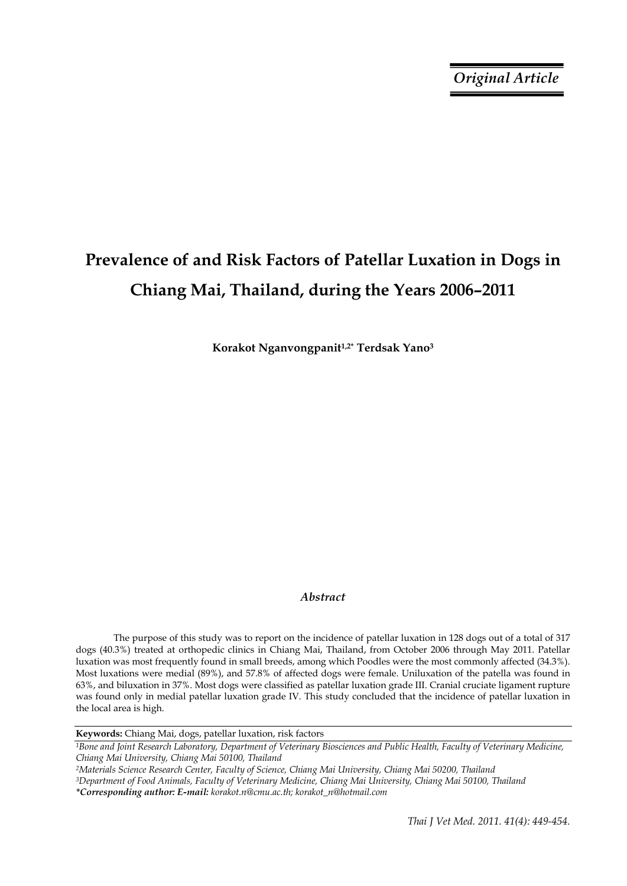# **Prevalence of and Risk Factors of Patellar Luxation in Dogs in Chiang Mai, Thailand, during the Years 2006–2011**

**Korakot Nganvongpanit1,2\* Terdsak Yano3**

# *Abstract*

The purpose of this study was to report on the incidence of patellar luxation in 128 dogs out of a total of 317 dogs (40.3%) treated at orthopedic clinics in Chiang Mai, Thailand, from October 2006 through May 2011. Patellar luxation was most frequently found in small breeds, among which Poodles were the most commonly affected (34.3%). Most luxations were medial (89%), and 57.8% of affected dogs were female. Uniluxation of the patella was found in 63%, and biluxation in 37%. Most dogs were classified as patellar luxation grade III. Cranial cruciate ligament rupture was found only in medial patellar luxation grade IV. This study concluded that the incidence of patellar luxation in the local area is high.

**Keywords:** Chiang Mai, dogs, patellar luxation, risk factors

*1Bone and Joint Research Laboratory, Department of Veterinary Biosciences and Public Health, Faculty of Veterinary Medicine, Chiang Mai University, Chiang Mai 50100, Thailand* 

*2Materials Science Research Center, Faculty of Science, Chiang Mai University, Chiang Mai 50200, Thailand 3Department of Food Animals, Faculty of Veterinary Medicine, Chiang Mai University, Chiang Mai 50100, Thailand \*Corresponding author: E-mail: korakot.n@cmu.ac.th; korakot\_n@hotmail.com*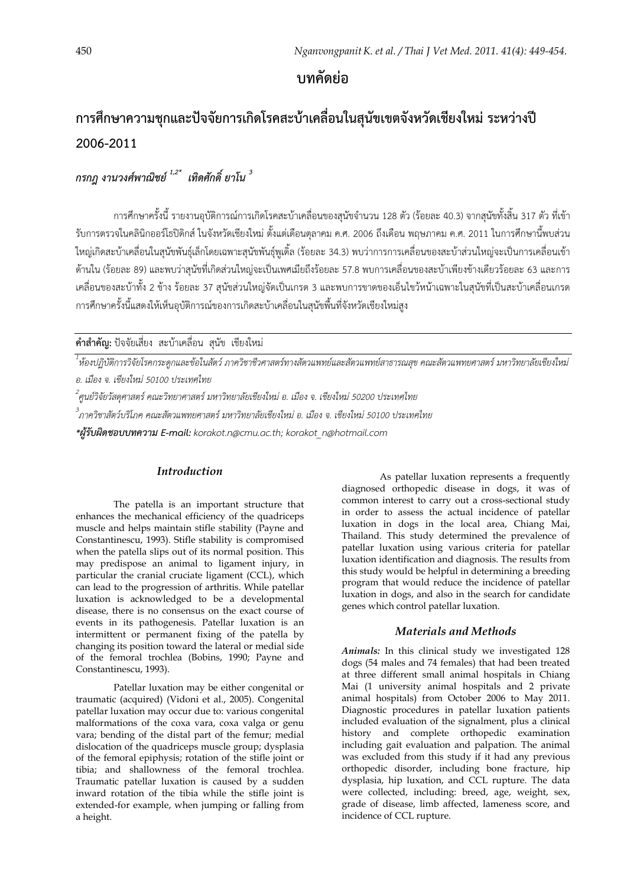**บทคัดย่อ**

# **การศึกษาความชุกและปัจจัยการเกิดโรคสะบ้าเคลื่อนในสุนขเขตจ ั ังหวัดเชียงใหม่ ระหว่างปี 2006-2011**

*กรกฎ งานวงศ์พาณิชย์ 1,2\* เทิดศักดิ์ยาโน <sup>3</sup>* 

การศึกษาครั้งนี้รายงานอุบัติการณ์การเกิดโรคสะบ้าเคลื่อนของสุนัขจํานวน 128 ตัว (ร้อยละ 40.3) จากสุนัขทั้งสิ้น 317 ตัว ที่เข้า รับการตรวจในคลินิกออร์โธปิดิกส์ในจังหวัดเชียงใหม่ตั้งแต่เดือนตุลาคม ค.ศ. 2006 ถึงเดือน พฤษภาคม ค.ศ. 2011 ในการศึกษานี้พบส่วน ใหญ่เกิดสะบ้าเคลื่อนในสุนัขพันธุ์เล็กโดยเฉพาะสุนัขพันธุ์พูเดิ้ล (ร้อยละ 34.3) พบว่าการการเคลื่อนของสะบ้าส่วนใหญ่จะเป็นการเคลื่อนเข้า ด้านใน (ร้อยละ 89) และพบว่าสุนัขที่เกิดส่วนใหญ่จะเป็นเพศเมียถึงร้อยละ 57.8 พบการเคลื่อนของสะบ้าเพียงข้างเดียวร้อยละ 63 และการ เคลื่อนของสะบ้าทั้ง 2 ข้าง ร้อยละ 37 สุนัขส่วนใหญ่จัดเป็นเกรด 3 และพบการขาดของเอ็นไขว้หน้าเฉพาะในสุนัขที่เป็นสะบ้าเคลื่อนเกรด ึการศึกษาครั้งนี้แสดงให้เห็นอุบัติการณ์ของการเกิดสะบ้าเคลื่อนในสุนัขพื้นที่จังหวัดเชียงใหม่สูง

**คําสําคัญ:** ปัจจัยเสี่ยง สะบาเคล ้ ื่อน สุนัข เชียงใหม่

*1 ห้องปฏิบัติการวิจัยโรคกระดูกและข้อในสัตว์ภาควิชาชีวศาสตร์ทางสัตวแพทย์และสัตวแพทย์สาธารณสุข คณะสัตวแพทยศาสตร์มหาวิทยาลัยเชียงใหม่ อ. เมือง จ. เชียงใหม่ 50100 ประเทศไทย*

*2 ศูนย์วิจัยวัสดุศาสตร์คณะวิทยาศาสตร์มหาวิทยาลัยเชียงใหม่อ. เมือง <sup>จ</sup>. เชียงใหม่ 50200 ประเทศไทย 3*

*ภาควิชาสัตว์บริโภค คณะสัตวแพทยศาสตร์มหาวิทยาลัยเชียงใหม่อ. เมือง จ. เชียงใหม่ 50100 ประเทศไทย* 

*\*ผู้รับผดชอบบทความ ิ E-mail: korakot.n@cmu.ac.th; korakot\_n@hotmail.com* 

# *Introduction*

The patella is an important structure that enhances the mechanical efficiency of the quadriceps muscle and helps maintain stifle stability (Payne and Constantinescu, 1993). Stifle stability is compromised when the patella slips out of its normal position. This may predispose an animal to ligament injury, in particular the cranial cruciate ligament (CCL), which can lead to the progression of arthritis. While patellar luxation is acknowledged to be a developmental disease, there is no consensus on the exact course of events in its pathogenesis. Patellar luxation is an intermittent or permanent fixing of the patella by changing its position toward the lateral or medial side of the femoral trochlea (Bobins, 1990; Payne and Constantinescu, 1993).

 Patellar luxation may be either congenital or traumatic (acquired) (Vidoni et al., 2005). Congenital patellar luxation may occur due to: various congenital malformations of the coxa vara, coxa valga or genu vara; bending of the distal part of the femur; medial dislocation of the quadriceps muscle group; dysplasia of the femoral epiphysis; rotation of the stifle joint or tibia; and shallowness of the femoral trochlea. Traumatic patellar luxation is caused by a sudden inward rotation of the tibia while the stifle joint is extended-for example, when jumping or falling from a height.

 As patellar luxation represents a frequently diagnosed orthopedic disease in dogs, it was of common interest to carry out a cross-sectional study in order to assess the actual incidence of patellar luxation in dogs in the local area, Chiang Mai, Thailand. This study determined the prevalence of patellar luxation using various criteria for patellar luxation identification and diagnosis. The results from this study would be helpful in determining a breeding program that would reduce the incidence of patellar luxation in dogs, and also in the search for candidate genes which control patellar luxation.

# *Materials and Methods*

*Animals:* In this clinical study we investigated 128 dogs (54 males and 74 females) that had been treated at three different small animal hospitals in Chiang Mai (1 university animal hospitals and 2 private animal hospitals) from October 2006 to May 2011. Diagnostic procedures in patellar luxation patients included evaluation of the signalment, plus a clinical history and complete orthopedic examination including gait evaluation and palpation. The animal was excluded from this study if it had any previous orthopedic disorder, including bone fracture, hip dysplasia, hip luxation, and CCL rupture. The data were collected, including: breed, age, weight, sex, grade of disease, limb affected, lameness score, and incidence of CCL rupture.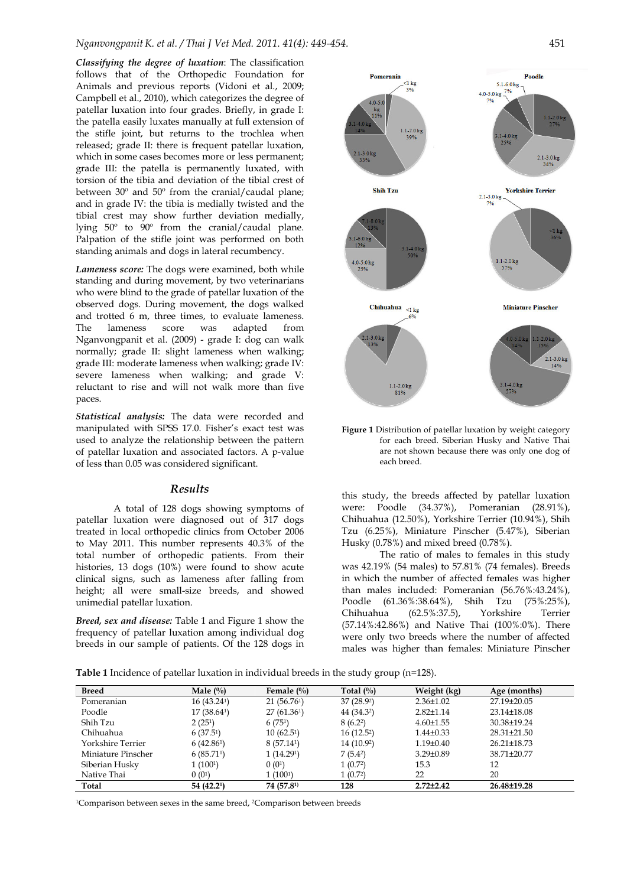*Classifying the degree of luxation*: The classification follows that of the Orthopedic Foundation for Animals and previous reports (Vidoni et al., 2009; Campbell et al., 2010), which categorizes the degree of patellar luxation into four grades. Briefly, in grade I: the patella easily luxates manually at full extension of the stifle joint, but returns to the trochlea when released; grade II: there is frequent patellar luxation, which in some cases becomes more or less permanent; grade III: the patella is permanently luxated, with torsion of the tibia and deviation of the tibial crest of between 30º and 50º from the cranial/caudal plane; and in grade IV: the tibia is medially twisted and the tibial crest may show further deviation medially, lying 50º to 90º from the cranial/caudal plane. Palpation of the stifle joint was performed on both standing animals and dogs in lateral recumbency.

*Lameness score:* The dogs were examined, both while standing and during movement, by two veterinarians who were blind to the grade of patellar luxation of the observed dogs. During movement, the dogs walked and trotted 6 m, three times, to evaluate lameness. The lameness score was adapted from Nganvongpanit et al. (2009) - grade I: dog can walk normally; grade II: slight lameness when walking; grade III: moderate lameness when walking; grade IV: severe lameness when walking; and grade V: reluctant to rise and will not walk more than five paces.

*Statistical analysis:* The data were recorded and manipulated with SPSS 17.0. Fisher's exact test was used to analyze the relationship between the pattern of patellar luxation and associated factors. A p-value of less than 0.05 was considered significant.

#### *Results*

 A total of 128 dogs showing symptoms of patellar luxation were diagnosed out of 317 dogs treated in local orthopedic clinics from October 2006 to May 2011. This number represents 40.3% of the total number of orthopedic patients. From their histories, 13 dogs (10%) were found to show acute clinical signs, such as lameness after falling from height; all were small-size breeds, and showed unimedial patellar luxation.

*Breed, sex and disease:* Table 1 and Figure 1 show the frequency of patellar luxation among individual dog breeds in our sample of patients. Of the 128 dogs in



**Figure 1** Distribution of patellar luxation by weight category for each breed. Siberian Husky and Native Thai are not shown because there was only one dog of each breed.

this study, the breeds affected by patellar luxation were: Poodle (34.37%), Pomeranian (28.91%), Chihuahua (12.50%), Yorkshire Terrier (10.94%), Shih Tzu (6.25%), Miniature Pinscher (5.47%), Siberian Husky (0.78%) and mixed breed (0.78%).

 The ratio of males to females in this study was 42.19% (54 males) to 57.81% (74 females). Breeds in which the number of affected females was higher than males included: Pomeranian (56.76%:43.24%), Poodle (61.36%:38.64%), Shih Tzu (75%:25%), Chihuahua (62.5%:37.5), Yorkshire Terrier (57.14%:42.86%) and Native Thai (100%:0%). There were only two breeds where the number of affected males was higher than females: Miniature Pinscher

**Table 1** Incidence of patellar luxation in individual breeds in the study group (n=128).

| <b>Breed</b>       | Male $(\%)$           | Female $(\%)$          | Total $(\%)$           | Weight (kg)     | Age (months)      |
|--------------------|-----------------------|------------------------|------------------------|-----------------|-------------------|
| Pomeranian         | 16(43.24)             | 21(56.761)             | 37 (28.92)             | $2.36 \pm 1.02$ | $27.19 \pm 20.05$ |
| Poodle             | 17(38.64)             | 27(61.36)              | 44 (34.32)             | $2.82 \pm 1.14$ | 23.14±18.08       |
| Shih Tzu           | 2(25 <sup>1</sup> )   | 6(751)                 | 8(6.22)                | $4.60 \pm 1.55$ | 30.38±19.24       |
| Chihuahua          | 6(37.5 <sup>1</sup> ) | 10(62.5 <sup>1</sup> ) | 16(12.5 <sup>2</sup> ) | $1.44\pm0.33$   | $28.31 \pm 21.50$ |
| Yorkshire Terrier  | 6(42.86)              | 8(57.14)               | 14 (10.92)             | $1.19 \pm 0.40$ | $26.21 \pm 18.73$ |
| Miniature Pinscher | 6(85.71)              | 1(14.291)              | 7(5.42)                | $3.29 \pm 0.89$ | 38.71±20.77       |
| Siberian Husky     | 1(100 <sup>1</sup> )  | 0(0 <sup>1</sup> )     | 1(0.72)                | 15.3            | 12                |
| Native Thai        | 0(0 <sup>1</sup> )    | 1(100 <sup>1</sup> )   | 1(0.72)                | 22              | 20                |
| Total              | 54 (42.21)            | 74 (57.81)             | 128                    | $2.72 \pm 2.42$ | 26.48±19.28       |

<sup>1</sup>Comparison between sexes in the same breed, <sup>2</sup>Comparison between breeds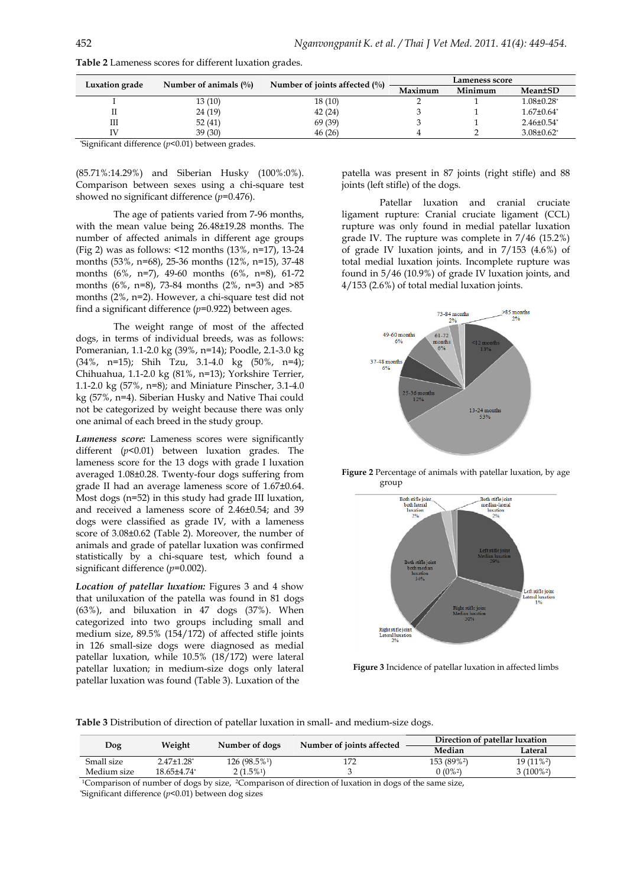| Luxation grade | Number of animals $(\% )$ | Number of joints affected $(\% )$ | Lameness score |         |                              |
|----------------|---------------------------|-----------------------------------|----------------|---------|------------------------------|
|                |                           |                                   | Maximum        | Minimum | <b>Mean±SD</b>               |
|                | 13 (10)                   | 18(10)                            |                |         | $1.08 \pm 0.28$ <sup>*</sup> |
|                | 24 (19)                   | 42(24)                            |                |         | $1.67 \pm 0.64^*$            |
| Ш              | 52(41)                    | 69 (39)                           |                |         | $2.46 \pm 0.54$ <sup>*</sup> |
|                | 39(30)                    | 46(26)                            |                |         | $3.08 \pm 0.62$ <sup>*</sup> |
|                |                           |                                   |                |         |                              |

**Table 2** Lameness scores for different luxation grades.

\* Significant difference (*p*<0.01) between grades.

(85.71%:14.29%) and Siberian Husky (100%:0%). Comparison between sexes using a chi-square test showed no significant difference (*p*=0.476).

 The age of patients varied from 7-96 months, with the mean value being 26.48±19.28 months. The number of affected animals in different age groups (Fig 2) was as follows: <12 months (13%, n=17), 13-24 months (53%, n=68), 25-36 months (12%, n=15), 37-48 months (6%, n=7), 49-60 months (6%, n=8), 61-72 months (6%, n=8), 73-84 months (2%, n=3) and >85 months (2%, n=2). However, a chi-square test did not find a significant difference (*p*=0.922) between ages.

 The weight range of most of the affected dogs, in terms of individual breeds, was as follows: Pomeranian, 1.1-2.0 kg (39%, n=14); Poodle, 2.1-3.0 kg (34%, n=15); Shih Tzu, 3.1-4.0 kg (50%, n=4); Chihuahua, 1.1-2.0 kg (81%, n=13); Yorkshire Terrier, 1.1-2.0 kg (57%, n=8); and Miniature Pinscher, 3.1-4.0 kg (57%, n=4). Siberian Husky and Native Thai could not be categorized by weight because there was only one animal of each breed in the study group.

*Lameness score:* Lameness scores were significantly different (*p*<0.01) between luxation grades. The lameness score for the 13 dogs with grade I luxation averaged 1.08±0.28. Twenty-four dogs suffering from grade II had an average lameness score of 1.67±0.64. Most dogs (n=52) in this study had grade III luxation, and received a lameness score of 2.46±0.54; and 39 dogs were classified as grade IV, with a lameness score of 3.08±0.62 (Table 2). Moreover, the number of animals and grade of patellar luxation was confirmed statistically by a chi-square test, which found a significant difference (*p*=0.002).

*Location of patellar luxation:* Figures 3 and 4 show that uniluxation of the patella was found in 81 dogs (63%), and biluxation in 47 dogs (37%). When categorized into two groups including small and medium size, 89.5% (154/172) of affected stifle joints in 126 small-size dogs were diagnosed as medial patellar luxation, while 10.5% (18/172) were lateral patellar luxation; in medium-size dogs only lateral patellar luxation was found (Table 3). Luxation of the

patella was present in 87 joints (right stifle) and 88 joints (left stifle) of the dogs.

 Patellar luxation and cranial cruciate ligament rupture: Cranial cruciate ligament (CCL) rupture was only found in medial patellar luxation grade IV. The rupture was complete in 7/46 (15.2%) of grade IV luxation joints, and in 7/153 (4.6%) of total medial luxation joints. Incomplete rupture was found in 5/46 (10.9%) of grade IV luxation joints, and 4/153 (2.6%) of total medial luxation joints.



**Figure 2** Percentage of animals with patellar luxation, by age group



**Figure 3** Incidence of patellar luxation in affected limbs

**Table 3** Distribution of direction of patellar luxation in small- and medium-size dogs.

| Dog         | Weight            | Number of dogs | Number of joints affected | Direction of patellar luxation |            |
|-------------|-------------------|----------------|---------------------------|--------------------------------|------------|
|             |                   |                |                           | Median                         | Lateral    |
| Small size  | $2.47{\pm}1.28^*$ | $126(98.5\%)$  |                           | 153 (89% <sup>2</sup> )        | $19(11\%)$ |
| Medium size | 18.65±4.74*       | $2(1.5\%)$     |                           | $0(0\%)^2$                     | $3(100\%)$ |

<sup>1</sup>Comparison of number of dogs by size, <sup>2</sup>Comparison of direction of luxation in dogs of the same size, \* Significant difference (*p*<0.01) between dog sizes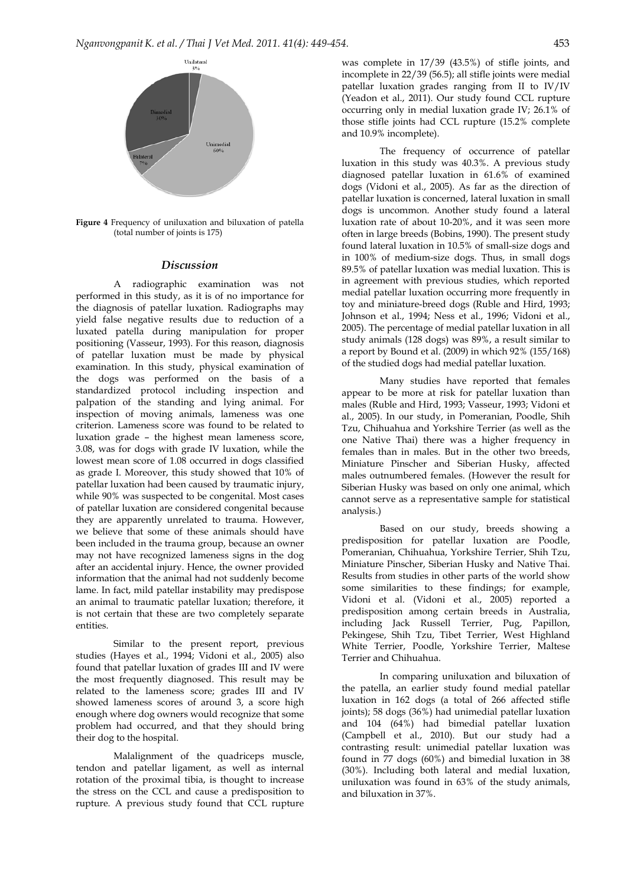

**Figure 4** Frequency of uniluxation and biluxation of patella (total number of joints is 175)

#### *Discussion*

 A radiographic examination was not performed in this study, as it is of no importance for the diagnosis of patellar luxation. Radiographs may yield false negative results due to reduction of a luxated patella during manipulation for proper positioning (Vasseur, 1993). For this reason, diagnosis of patellar luxation must be made by physical examination. In this study, physical examination of the dogs was performed on the basis of a standardized protocol including inspection and palpation of the standing and lying animal. For inspection of moving animals, lameness was one criterion. Lameness score was found to be related to luxation grade – the highest mean lameness score, 3.08, was for dogs with grade IV luxation, while the lowest mean score of 1.08 occurred in dogs classified as grade I. Moreover, this study showed that 10% of patellar luxation had been caused by traumatic injury, while 90% was suspected to be congenital. Most cases of patellar luxation are considered congenital because they are apparently unrelated to trauma. However, we believe that some of these animals should have been included in the trauma group, because an owner may not have recognized lameness signs in the dog after an accidental injury. Hence, the owner provided information that the animal had not suddenly become lame. In fact, mild patellar instability may predispose an animal to traumatic patellar luxation; therefore, it is not certain that these are two completely separate entities.

 Similar to the present report, previous studies (Hayes et al., 1994; Vidoni et al., 2005) also found that patellar luxation of grades III and IV were the most frequently diagnosed. This result may be related to the lameness score; grades III and IV showed lameness scores of around 3, a score high enough where dog owners would recognize that some problem had occurred, and that they should bring their dog to the hospital.

 Malalignment of the quadriceps muscle, tendon and patellar ligament, as well as internal rotation of the proximal tibia, is thought to increase the stress on the CCL and cause a predisposition to rupture. A previous study found that CCL rupture

was complete in 17/39 (43.5%) of stifle joints, and incomplete in 22/39 (56.5); all stifle joints were medial patellar luxation grades ranging from II to IV/IV (Yeadon et al., 2011). Our study found CCL rupture occurring only in medial luxation grade IV; 26.1% of those stifle joints had CCL rupture (15.2% complete and 10.9% incomplete).

 The frequency of occurrence of patellar luxation in this study was 40.3%. A previous study diagnosed patellar luxation in 61.6% of examined dogs (Vidoni et al., 2005). As far as the direction of patellar luxation is concerned, lateral luxation in small dogs is uncommon. Another study found a lateral luxation rate of about 10-20%, and it was seen more often in large breeds (Bobins, 1990). The present study found lateral luxation in 10.5% of small-size dogs and in 100% of medium-size dogs. Thus, in small dogs 89.5% of patellar luxation was medial luxation. This is in agreement with previous studies, which reported medial patellar luxation occurring more frequently in toy and miniature-breed dogs (Ruble and Hird, 1993; Johnson et al., 1994; Ness et al., 1996; Vidoni et al., 2005). The percentage of medial patellar luxation in all study animals (128 dogs) was 89%, a result similar to a report by Bound et al. (2009) in which 92% (155/168) of the studied dogs had medial patellar luxation.

 Many studies have reported that females appear to be more at risk for patellar luxation than males (Ruble and Hird, 1993; Vasseur, 1993; Vidoni et al., 2005). In our study, in Pomeranian, Poodle, Shih Tzu, Chihuahua and Yorkshire Terrier (as well as the one Native Thai) there was a higher frequency in females than in males. But in the other two breeds, Miniature Pinscher and Siberian Husky, affected males outnumbered females. (However the result for Siberian Husky was based on only one animal, which cannot serve as a representative sample for statistical analysis.)

 Based on our study, breeds showing a predisposition for patellar luxation are Poodle, Pomeranian, Chihuahua, Yorkshire Terrier, Shih Tzu, Miniature Pinscher, Siberian Husky and Native Thai. Results from studies in other parts of the world show some similarities to these findings; for example, Vidoni et al. (Vidoni et al., 2005) reported a predisposition among certain breeds in Australia, including Jack Russell Terrier, Pug, Papillon, Pekingese, Shih Tzu, Tibet Terrier, West Highland White Terrier, Poodle, Yorkshire Terrier, Maltese Terrier and Chihuahua.

 In comparing uniluxation and biluxation of the patella, an earlier study found medial patellar luxation in 162 dogs (a total of 266 affected stifle joints); 58 dogs (36%) had unimedial patellar luxation and 104 (64%) had bimedial patellar luxation (Campbell et al., 2010). But our study had a contrasting result: unimedial patellar luxation was found in 77 dogs (60%) and bimedial luxation in 38 (30%). Including both lateral and medial luxation, uniluxation was found in 63% of the study animals, and biluxation in 37%.